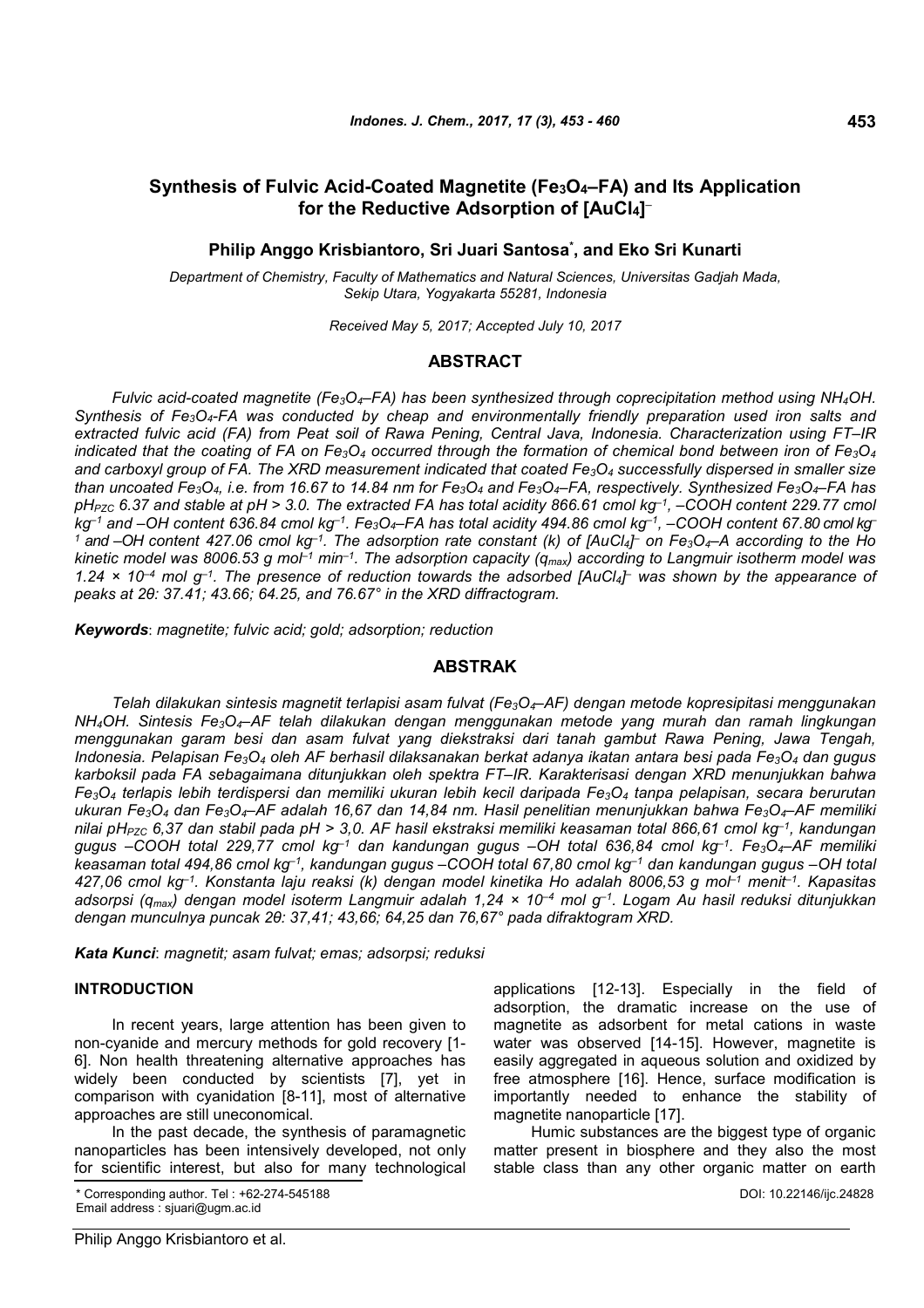# **Synthesis of Fulvic Acid-Coated Magnetite (Fe3O4–FA) and Its Application for the Reductive Adsorption of [AuCl4] –**

# **Philip Anggo Krisbiantoro, Sri Juari Santosa\* , and Eko Sri Kunarti**

*Department of Chemistry, Faculty of Mathematics and Natural Sciences, Universitas Gadjah Mada, Sekip Utara, Yogyakarta 55281, Indonesia*

*Received May 5, 2017; Accepted July 10, 2017*

# **ABSTRACT**

*Fulvic acid-coated magnetite (Fe3O4–FA) has been synthesized through coprecipitation method using NH4OH. Synthesis of Fe3O4-FA was conducted by cheap and environmentally friendly preparation used iron salts and extracted fulvic acid (FA) from Peat soil of Rawa Pening, Central Java, Indonesia. Characterization using FT–IR indicated that the coating of FA on Fe3O<sup>4</sup> occurred through the formation of chemical bond between iron of Fe3O<sup>4</sup> and carboxyl group of FA. The XRD measurement indicated that coated Fe3O<sup>4</sup> successfully dispersed in smaller size* than uncoated Fe<sub>3</sub>O<sub>4</sub>, i.e. from 16.67 to 14.84 nm for Fe<sub>3</sub>O<sub>4</sub> and Fe<sub>3</sub>O<sub>4</sub>-FA, respectively. Synthesized Fe<sub>3</sub>O<sub>4</sub>-FA has *pHPZC 6.37 and stable at pH > 3.0. The extracted FA has total acidity 866.61 cmol kg–1, –COOH content 229.77 cmol kg–1 and –OH content 636.84 cmol kg–1. Fe3O4–FA has total acidity 494.86 cmol kg–1, –COOH content 67.80 cmol kg– <sup>1</sup> and –OH content 427.06 cmol kg–1. The adsorption rate constant (k) of [AuCl4] – on Fe3O4–A according to the Ho kinetic model was 8006.53 g mol–1 min–1. The adsorption capacity (qmax) according to Langmuir isotherm model was 1.24 × 10–4 mol g–1. The presence of reduction towards the adsorbed [AuCl4] – was shown by the appearance of peaks at 2θ: 37.41; 43.66; 64.25, and 76.67° in the XRD diffractogram.*

*Keywords*: *magnetite; fulvic acid; gold; adsorption; reduction*

### **ABSTRAK**

*Telah dilakukan sintesis magnetit terlapisi asam fulvat (Fe3O4–AF) dengan metode kopresipitasi menggunakan NH4OH. Sintesis Fe3O4–AF telah dilakukan dengan menggunakan metode yang murah dan ramah lingkungan menggunakan garam besi dan asam fulvat yang diekstraksi dari tanah gambut Rawa Pening, Jawa Tengah, Indonesia. Pelapisan Fe3O<sup>4</sup> oleh AF berhasil dilaksanakan berkat adanya ikatan antara besi pada Fe3O<sup>4</sup> dan gugus karboksil pada FA sebagaimana ditunjukkan oleh spektra FT–IR. Karakterisasi dengan XRD menunjukkan bahwa Fe3O<sup>4</sup> terlapis lebih terdispersi dan memiliki ukuran lebih kecil daripada Fe3O<sup>4</sup> tanpa pelapisan, secara berurutan ukuran Fe3O<sup>4</sup> dan Fe3O4–AF adalah 16,67 dan 14,84 nm. Hasil penelitian menunjukkan bahwa Fe3O4–AF memiliki nilai pHPZC 6,37 dan stabil pada pH > 3,0. AF hasil ekstraksi memiliki keasaman total 866,61 cmol kg–1, kandungan gugus –COOH total 229,77 cmol kg–1 dan kandungan gugus –OH total 636,84 cmol kg–1. Fe3O4–AF memiliki keasaman total 494,86 cmol kg–1, kandungan gugus –COOH total 67,80 cmol kg–1 dan kandungan gugus –OH total 427,06 cmol kg–1. Konstanta laju reaksi (k) dengan model kinetika Ho adalah 8006,53 g mol–1 menit–1. Kapasitas adsorpsi (qmax) dengan model isoterm Langmuir adalah 1,24 × 10–4 mol g–1. Logam Au hasil reduksi ditunjukkan dengan munculnya puncak 2θ: 37,41; 43,66; 64,25 dan 76,67° pada difraktogram XRD.*

*Kata Kunci*: *magnetit; asam fulvat; emas; adsorpsi; reduksi*

#### **INTRODUCTION**

In recent years, large attention has been given to non-cyanide and mercury methods for gold recovery [1- 6]. Non health threatening alternative approaches has widely been conducted by scientists [7], yet in comparison with cyanidation [8-11], most of alternative approaches are still uneconomical.

In the past decade, the synthesis of paramagnetic nanoparticles has been intensively developed, not only for scientific interest, but also for many technological

\* Corresponding author. Tel : +62-274-545188 Email address : sjuari@ugm.ac.id

applications [12-13]. Especially in the field of adsorption, the dramatic increase on the use of magnetite as adsorbent for metal cations in waste water was observed [14-15]. However, magnetite is easily aggregated in aqueous solution and oxidized by free atmosphere [16]. Hence, surface modification is importantly needed to enhance the stability of magnetite nanoparticle [17].

Humic substances are the biggest type of organic matter present in biosphere and they also the most stable class than any other organic matter on earth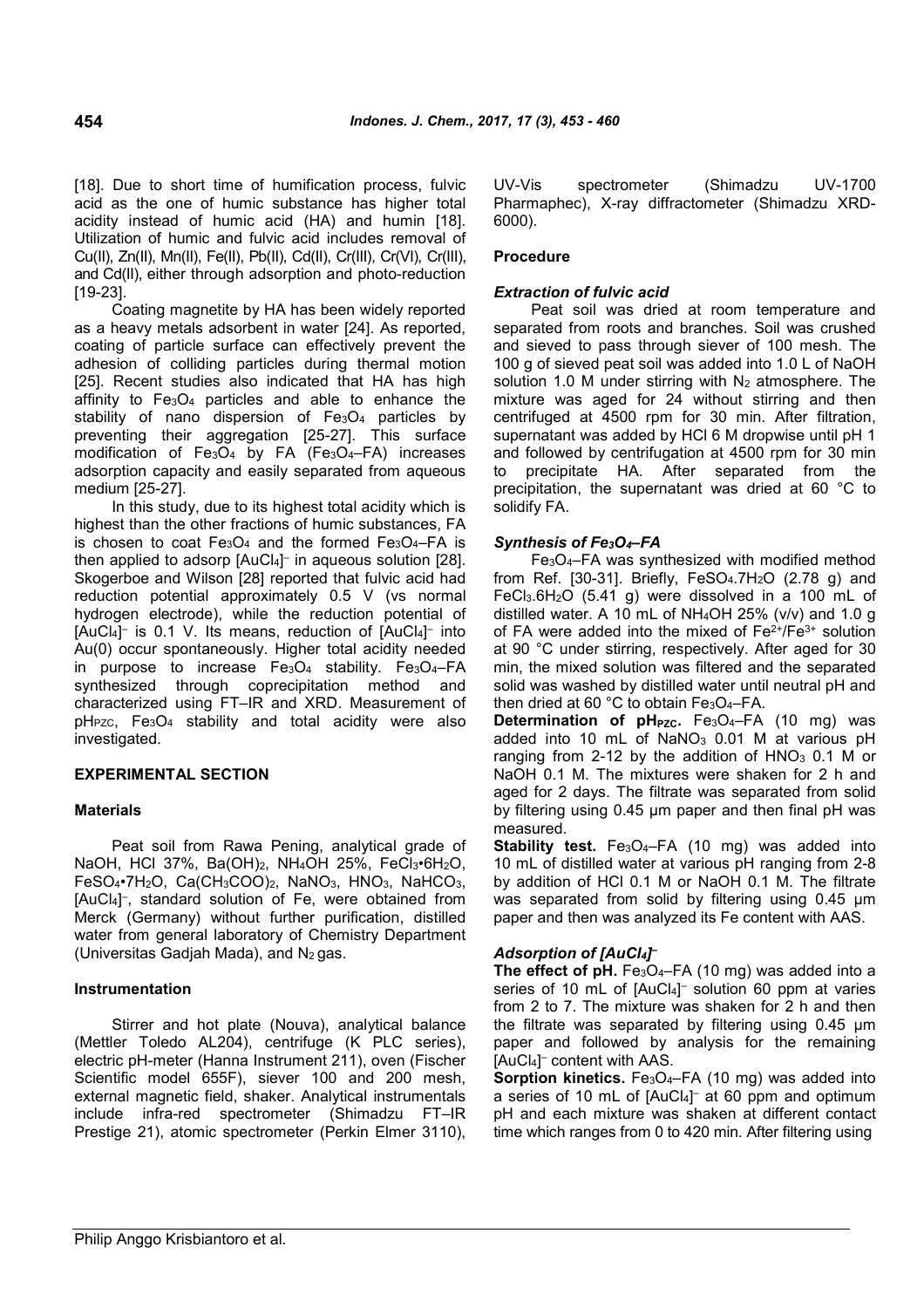[18]. Due to short time of humification process, fulvic acid as the one of humic substance has higher total acidity instead of humic acid (HA) and humin [18]. Utilization of humic and fulvic acid includes removal of Cu(II), Zn(II), Mn(II), Fe(II), Pb(II), Cd(II), Cr(III), Cr(VI), Cr(III), and Cd(II), either through adsorption and photo-reduction [19-23].

Coating magnetite by HA has been widely reported as a heavy metals adsorbent in water [24]. As reported, coating of particle surface can effectively prevent the adhesion of colliding particles during thermal motion [25]. Recent studies also indicated that HA has high affinity to  $Fe<sub>3</sub>O<sub>4</sub>$  particles and able to enhance the stability of nano dispersion of Fe<sub>3</sub>O<sub>4</sub> particles by preventing their aggregation [25-27]. This surface modification of Fe<sub>3</sub>O<sub>4</sub> by FA (Fe<sub>3</sub>O<sub>4</sub>–FA) increases adsorption capacity and easily separated from aqueous medium [25-27].

In this study, due to its highest total acidity which is highest than the other fractions of humic substances, FA is chosen to coat Fe3O<sup>4</sup> and the formed Fe3O4*–*FA is then applied to adsorp [AuCl4] – in aqueous solution [28]. Skogerboe and Wilson [28] reported that fulvic acid had reduction potential approximately 0.5 V (vs normal hydrogen electrode), while the reduction potential of [AuCl<sub>4</sub>]<sup>-</sup> is 0.1 V. Its means, reduction of [AuCl<sub>4</sub>]<sup>-</sup> into Au(0) occur spontaneously. Higher total acidity needed in purpose to increase  $Fe<sub>3</sub>O<sub>4</sub>$  stability.  $Fe<sub>3</sub>O<sub>4</sub>$ –FA synthesized through coprecipitation method and characterized using FT–IR and XRD. Measurement of  $pH_{PZC}$ ,  $Fe<sub>3</sub>O<sub>4</sub>$  stability and total acidity were also investigated.

# **EXPERIMENTAL SECTION**

## **Materials**

Peat soil from Rawa Pening, analytical grade of NaOH, HCl 37%, Ba(OH)2, NH4OH 25%, FeCl3•6H2O, FeSO4•7H2O, Ca(CH3COO)2, NaNO3, HNO3, NaHCO3, [AuCl4] – , standard solution of Fe, were obtained from Merck (Germany) without further purification, distilled water from general laboratory of Chemistry Department (Universitas Gadjah Mada), and  $N_2$  gas.

## **Instrumentation**

Stirrer and hot plate (Nouva), analytical balance (Mettler Toledo AL204), centrifuge (K PLC series), electric pH-meter (Hanna Instrument 211), oven (Fischer Scientific model 655F), siever 100 and 200 mesh, external magnetic field, shaker. Analytical instrumentals include infra-red spectrometer (Shimadzu FT–IR Prestige 21), atomic spectrometer (Perkin Elmer 3110), UV-Vis spectrometer (Shimadzu UV-1700 Pharmaphec), X-ray diffractometer (Shimadzu XRD-6000).

# **Procedure**

# *Extraction of fulvic acid*

Peat soil was dried at room temperature and separated from roots and branches. Soil was crushed and sieved to pass through siever of 100 mesh. The 100 g of sieved peat soil was added into 1.0 L of NaOH solution 1.0 M under stirring with  $N_2$  atmosphere. The mixture was aged for 24 without stirring and then centrifuged at 4500 rpm for 30 min. After filtration, supernatant was added by HCl 6 M dropwise until pH 1 and followed by centrifugation at 4500 rpm for 30 min to precipitate HA. After separated from the precipitation, the supernatant was dried at 60 °C to solidify FA.

# *Synthesis of Fe3O4–FA*

Fe3O4–FA was synthesized with modified method from Ref. [30-31]. Briefly,  $FeSO<sub>4</sub>.7H<sub>2</sub>O$  (2.78 g) and FeCl3.6H2O (5.41 g) were dissolved in a 100 mL of distilled water. A 10 mL of  $NH<sub>4</sub>OH$  25% (v/v) and 1.0 g of FA were added into the mixed of  $Fe<sup>2+</sup>/Fe<sup>3+</sup>$  solution at 90 °C under stirring, respectively. After aged for 30 min, the mixed solution was filtered and the separated solid was washed by distilled water until neutral pH and then dried at 60 °C to obtain Fe<sub>3</sub>O<sub>4</sub>-FA.

**Determination of pH<sub>PZC</sub>.** Fe<sub>3</sub>O<sub>4</sub>-FA (10 mg) was added into 10 mL of NaNO<sub>3</sub> 0.01 M at various pH ranging from 2-12 by the addition of  $HNO<sub>3</sub> 0.1 M$  or NaOH 0.1 M. The mixtures were shaken for 2 h and aged for 2 days. The filtrate was separated from solid by filtering using 0.45 µm paper and then final pH was measured.

**Stability test.** Fe<sub>3</sub>O<sub>4</sub>-FA (10 mg) was added into 10 mL of distilled water at various pH ranging from 2-8 by addition of HCl 0.1 M or NaOH 0.1 M. The filtrate was separated from solid by filtering using 0.45  $\mu$ m paper and then was analyzed its Fe content with AAS.

# *Adsorption of [AuCl4] –*

**The effect of pH.** Fe<sub>3</sub>O<sub>4</sub>-FA (10 mg) was added into a series of 10 mL of [AuCl4] – solution 60 ppm at varies from 2 to 7. The mixture was shaken for 2 h and then the filtrate was separated by filtering using 0.45 µm paper and followed by analysis for the remaining [AuCl4] – content with AAS.

**Sorption kinetics.** Fe<sub>3</sub>O<sub>4</sub>-FA (10 mg) was added into a series of 10 mL of [AuCl4] – at 60 ppm and optimum pH and each mixture was shaken at different contact time which ranges from 0 to 420 min. After filtering using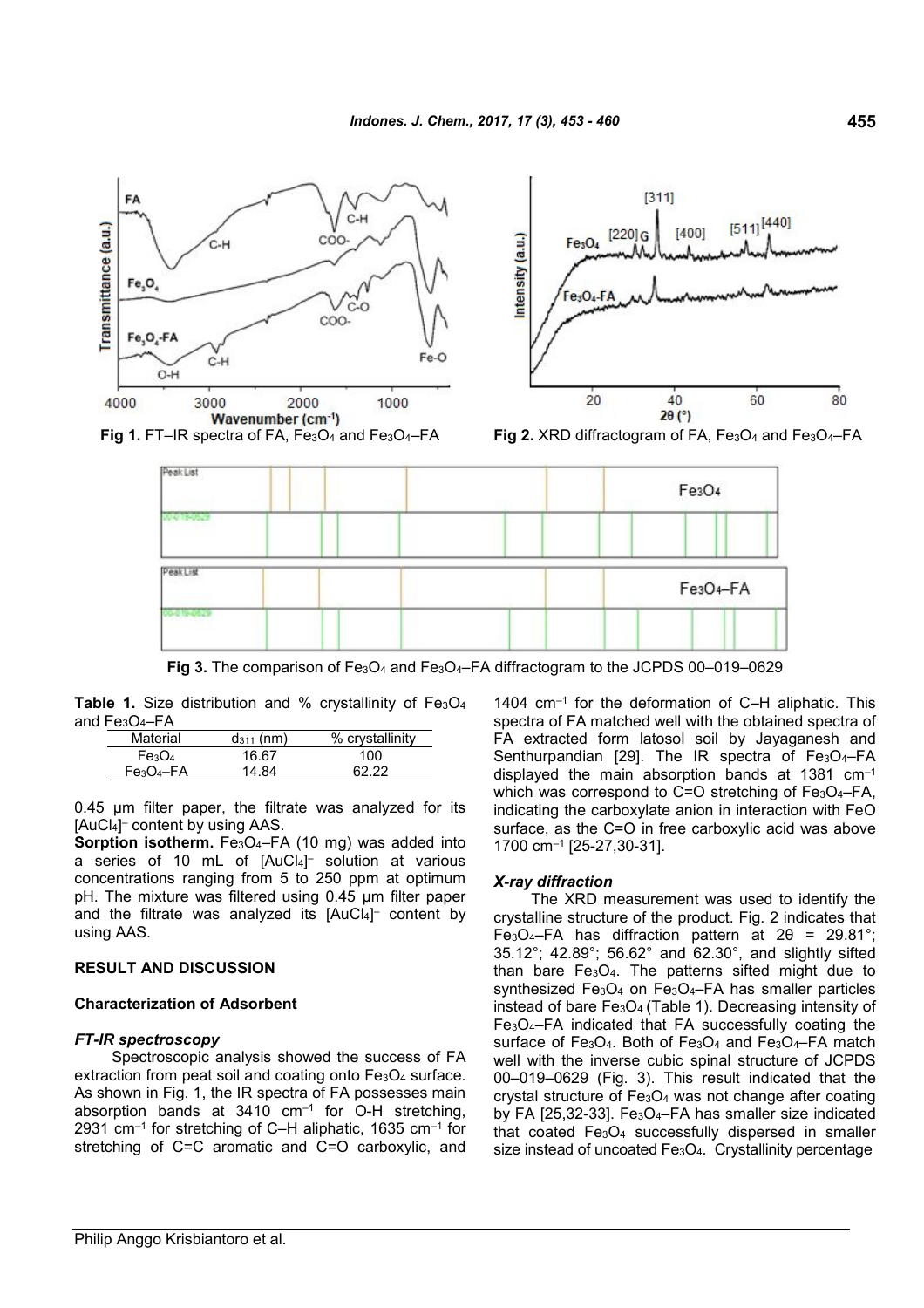

Fig 3. The comparison of Fe<sub>3</sub>O<sub>4</sub> and Fe<sub>3</sub>O<sub>4</sub>–FA diffractogram to the JCPDS 00–019–0629

Table 1. Size distribution and % crystallinity of Fe<sub>3</sub>O<sub>4</sub> and Fe3O4–FA

| Material                       | $d_{311}$ (nm) | % crystallinity |
|--------------------------------|----------------|-----------------|
| Fe <sub>3</sub> O <sub>4</sub> | 16.67          | 100             |
| $Fe3O4-FA$                     | 14 R4          | 62 22           |

0.45 µm filter paper, the filtrate was analyzed for its [AuCl4] – content by using AAS.

**Sorption isotherm.** Fe<sub>3</sub>O<sub>4</sub>-FA (10 mg) was added into a series of 10 mL of [AuCl4] – solution at various concentrations ranging from 5 to 250 ppm at optimum pH. The mixture was filtered using 0.45 µm filter paper and the filtrate was analyzed its [AuCl4] – content by using AAS.

# **RESULT AND DISCUSSION**

# **Characterization of Adsorbent**

# *FT-IR spectroscopy*

Spectroscopic analysis showed the success of FA extraction from peat soil and coating onto Fe3O4 surface. As shown in Fig. 1, the IR spectra of FA possesses main absorption bands at  $3410 \, \text{cm}^{-1}$  for O-H stretching, 2931 cm $^{-1}$  for stretching of C-H aliphatic, 1635 cm $^{-1}$  for stretching of C=C aromatic and C=O carboxylic, and 1404 cm–1 for the deformation of C–H aliphatic. This spectra of FA matched well with the obtained spectra of FA extracted form latosol soil by Jayaganesh and Senthurpandian [29]. The IR spectra of Fe<sub>3</sub>O<sub>4</sub>-FA displayed the main absorption bands at 1381 cm–1 which was correspond to C=O stretching of Fe<sub>3</sub>O<sub>4</sub>-FA, indicating the carboxylate anion in interaction with FeO surface, as the C=O in free carboxylic acid was above 1700 cm–1 [25-27,30-31].

# *X-ray diffraction*

The XRD measurement was used to identify the crystalline structure of the product. Fig. 2 indicates that Fe<sub>3</sub>O<sub>4</sub>–FA has diffraction pattern at  $2\theta$  = 29.81°; 35.12°; 42.89°; 56.62° and 62.30°, and slightly sifted than bare  $Fe<sub>3</sub>O<sub>4</sub>$ . The patterns sifted might due to synthesized Fe<sub>3</sub>O<sub>4</sub> on Fe<sub>3</sub>O<sub>4</sub>–FA has smaller particles instead of bare Fe3O<sup>4</sup> (Table 1). Decreasing intensity of Fe3O4–FA indicated that FA successfully coating the surface of Fe<sub>3</sub>O<sub>4</sub>. Both of Fe<sub>3</sub>O<sub>4</sub> and Fe<sub>3</sub>O<sub>4</sub>–FA match well with the inverse cubic spinal structure of JCPDS 00–019–0629 (Fig. 3). This result indicated that the crystal structure of  $Fe<sub>3</sub>O<sub>4</sub>$  was not change after coating by FA [25,32-33]. Fe<sub>3</sub>O<sub>4</sub>-FA has smaller size indicated that coated Fe3O<sup>4</sup> successfully dispersed in smaller size instead of uncoated Fe<sub>3</sub>O<sub>4</sub>. Crystallinity percentage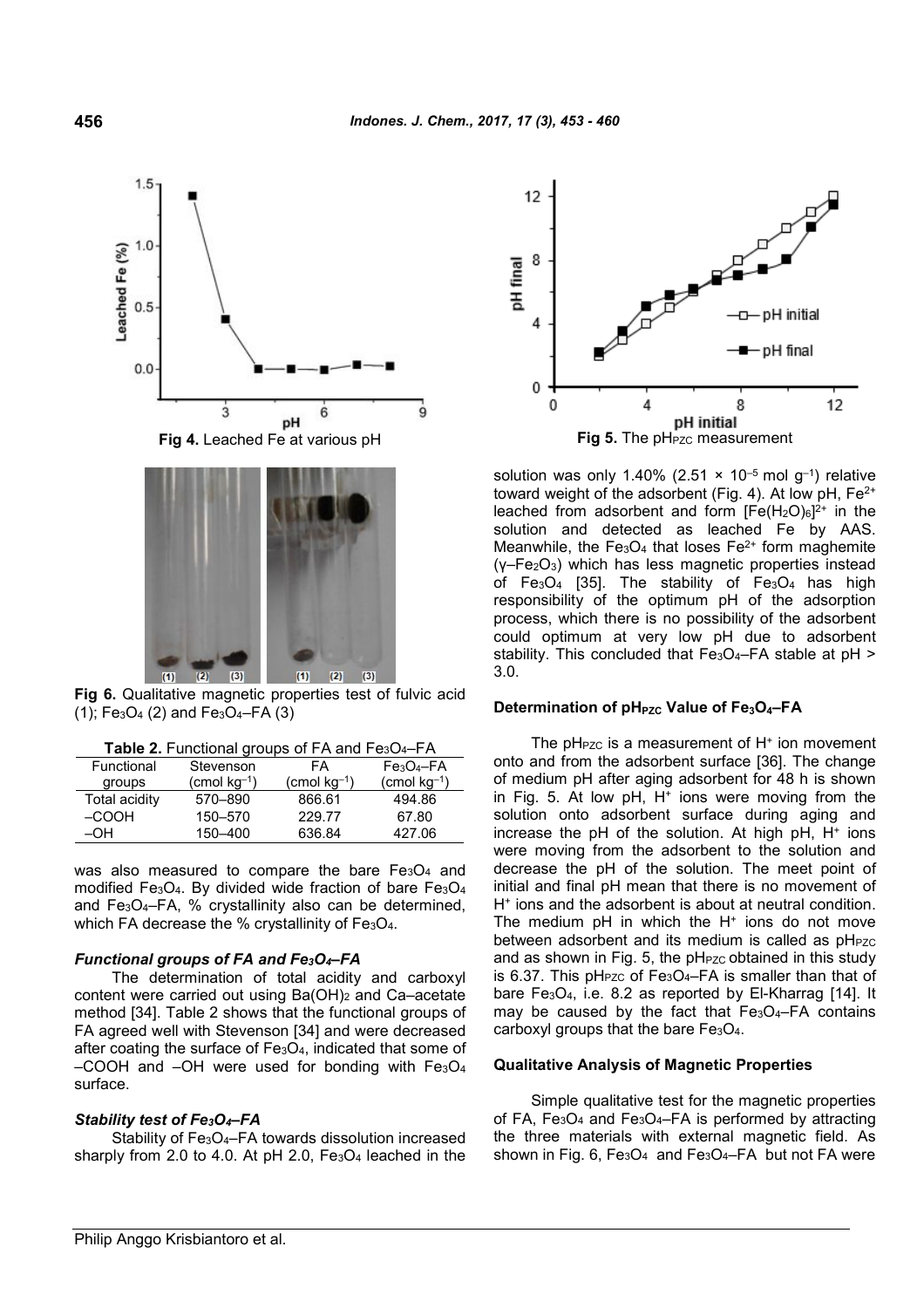$1.0$ Leached Fe (%)  $0.5$  $0.0$ 3 6 Q pH



**Fig 6.** Qualitative magnetic properties test of fulvic acid  $(1)$ ; Fe<sub>3</sub>O<sub>4</sub> (2) and Fe<sub>3</sub>O<sub>4</sub>-FA $(3)$ 

| Functional    | Stevenson                      | FA                      | $Fe3O4-FA$        |
|---------------|--------------------------------|-------------------------|-------------------|
| groups        | $\text{(cmol kg}^{-1}\text{)}$ | $\text{(cmol kg}^{-1})$ | (cmol $kg^{-1}$ ) |
| Total acidity | 570-890                        | 866.61                  | 494.86            |
| $-COOH$       | 150-570                        | 229.77                  | 67.80             |
| $-OH$         | 150-400                        | 636.84                  | 427.06            |
|               |                                |                         |                   |

was also measured to compare the bare  $Fe<sub>3</sub>O<sub>4</sub>$  and modified Fe<sub>3</sub>O<sub>4</sub>. By divided wide fraction of bare Fe<sub>3</sub>O<sub>4</sub> and Fe3O4–FA, % crystallinity also can be determined, which FA decrease the % crystallinity of  $Fe<sub>3</sub>O<sub>4</sub>$ .

## *Functional groups of FA and Fe3O4–FA*

The determination of total acidity and carboxyl content were carried out using Ba(OH)<sup>2</sup> and Ca*–*acetate method [34]. Table 2 shows that the functional groups of FA agreed well with Stevenson [34] and were decreased after coating the surface of Fe3O4, indicated that some of –COOH and –OH were used for bonding with  $Fe<sub>3</sub>O<sub>4</sub>$ surface.

#### *Stability test of Fe3O4–FA*

Stability of Fe<sub>3</sub>O<sub>4</sub>–FA towards dissolution increased sharply from 2.0 to 4.0. At pH 2.0,  $Fe<sub>3</sub>O<sub>4</sub>$  leached in the



solution was only 1.40% (2.51  $\times$  10<sup>-5</sup> mol q<sup>-1</sup>) relative toward weight of the adsorbent (Fig. 4). At low pH, Fe<sup>2+</sup> leached from adsorbent and form  $[Fe(H<sub>2</sub>O)<sub>6</sub>]^{2+}$  in the solution and detected as leached Fe by AAS. Meanwhile, the Fe<sub>3</sub>O<sub>4</sub> that loses Fe<sup>2+</sup> form maghemite (γ–Fe2O3) which has less magnetic properties instead of Fe $3O_4$  [35]. The stability of Fe $3O_4$  has high responsibility of the optimum pH of the adsorption process, which there is no possibility of the adsorbent could optimum at very low pH due to adsorbent stability. This concluded that  $Fe<sub>3</sub>O<sub>4</sub> - FA$  stable at pH > 3.0.

## **Determination of pHPZC Value of Fe3O4–FA**

The pH $_{\rm PZC}$  is a measurement of H $^*$  ion movement onto and from the adsorbent surface [36]. The change of medium pH after aging adsorbent for 48 h is shown in Fig. 5. At low pH, H<sup>+</sup> ions were moving from the solution onto adsorbent surface during aging and increase the pH of the solution. At high pH, H<sup>+</sup> ions were moving from the adsorbent to the solution and decrease the pH of the solution. The meet point of initial and final pH mean that there is no movement of H<sup>+</sup> ions and the adsorbent is about at neutral condition. The medium  $pH$  in which the  $H^+$  ions do not move between adsorbent and its medium is called as pH<sub>PZC</sub> and as shown in Fig. 5, the pH<sub>PZC</sub> obtained in this study is 6.37. This pH<sub>PZC</sub> of Fe<sub>3</sub>O<sub>4</sub>-FA is smaller than that of bare Fe<sub>3</sub>O<sub>4</sub>, i.e. 8.2 as reported by El-Kharrag [14]. It may be caused by the fact that  $Fe<sub>3</sub>O<sub>4</sub>-FA$  contains carboxyl groups that the bare  $Fe<sub>3</sub>O<sub>4</sub>$ .

### **Qualitative Analysis of Magnetic Properties**

Simple qualitative test for the magnetic properties of FA,  $Fe<sub>3</sub>O<sub>4</sub>$  and  $Fe<sub>3</sub>O<sub>4</sub>$  – FA is performed by attracting the three materials with external magnetic field. As shown in Fig. 6, Fe<sub>3</sub>O<sub>4</sub> and Fe<sub>3</sub>O<sub>4</sub>–FA but not FA were

 $1.5$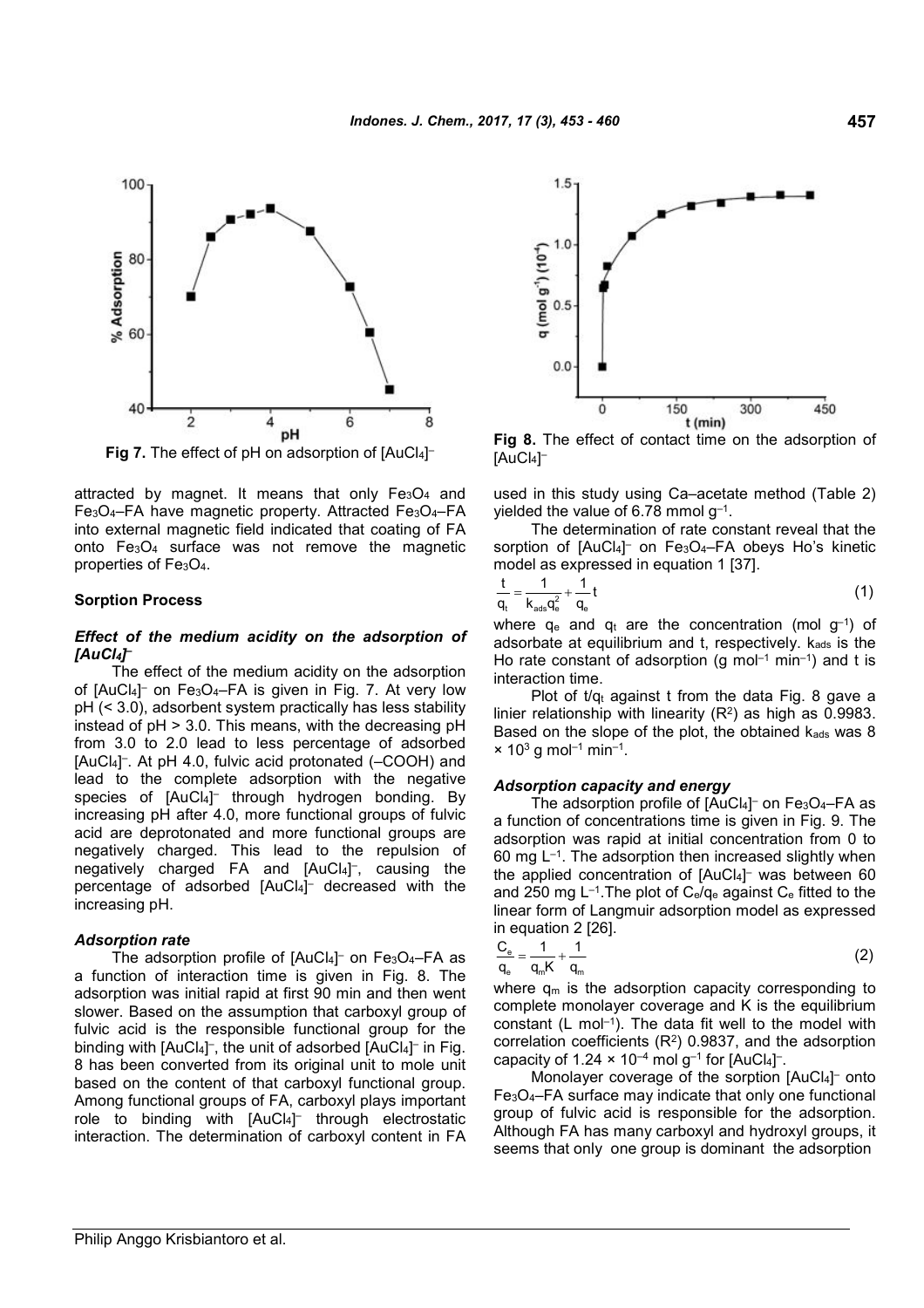

attracted by magnet. It means that only Fe<sub>3</sub>O<sub>4</sub> and Fe3O4–FA have magnetic property. Attracted Fe3O4–FA into external magnetic field indicated that coating of FA onto Fe3O<sup>4</sup> surface was not remove the magnetic properties of Fe<sub>3</sub>O<sub>4</sub>.

#### **Sorption Process**

## *Effect of the medium acidity on the adsorption of [AuCl4] –*

The effect of the medium acidity on the adsorption of [AuCl4] – on Fe3O4–FA is given in Fig. 7. At very low pH (< 3.0), adsorbent system practically has less stability instead of pH > 3.0. This means, with the decreasing pH from 3.0 to 2.0 lead to less percentage of adsorbed [AuCl4] – . At pH 4.0, fulvic acid protonated (–COOH) and lead to the complete adsorption with the negative species of [AuCl4] – through hydrogen bonding. By increasing pH after 4.0, more functional groups of fulvic acid are deprotonated and more functional groups are negatively charged. This lead to the repulsion of negatively charged FA and [AuCl4] – , causing the percentage of adsorbed [AuCl4] – decreased with the increasing pH.

#### *Adsorption rate*

The adsorption profile of [AuCl4] – on Fe3O4–FA as a function of interaction time is given in Fig. 8. The adsorption was initial rapid at first 90 min and then went slower. Based on the assumption that carboxyl group of fulvic acid is the responsible functional group for the binding with [AuCl4]<sup>-</sup>, the unit of adsorbed [AuCl4]<sup>-</sup> in Fig. 8 has been converted from its original unit to mole unit based on the content of that carboxyl functional group. Among functional groups of FA, carboxyl plays important role to binding with [AuCl4] – through electrostatic interaction. The determination of carboxyl content in FA



**Fig 8.** The effect of contact time on the adsorption of [AuCl4] –

used in this study using Ca–acetate method (Table 2) yielded the value of 6.78 mmol g $^{\rm -1}.$ 

The determination of rate constant reveal that the sorption of [AuCl4]<sup>-</sup> on Fe<sub>3</sub>O<sub>4</sub>-FA obeys Ho's kinetic model as expressed in equation 1 [37].

$$
\frac{t}{q_t} = \frac{1}{k_{ads}q_e^2} + \frac{1}{q_e}t
$$
\n(1)

where  $q_e$  and  $q_t$  are the concentration (mol  $g^{-1}$ ) of adsorbate at equilibrium and t, respectively. Kads is the Ho rate constant of adsorption (g mol<sup>-1</sup> min<sup>-1</sup>) and t is interaction time.

Plot of  $t/q_t$  against t from the data Fig. 8 gave a linier relationship with linearity  $(R^2)$  as high as 0.9983. Based on the slope of the plot, the obtained  $k_{ads}$  was 8  $\times$  10<sup>3</sup> g mol<sup>-1</sup> min<sup>-1</sup>.

## *Adsorption capacity and energy*

The adsorption profile of [AuCl4] – on Fe3O4–FA as a function of concentrations time is given in Fig. 9. The adsorption was rapid at initial concentration from 0 to 60 mg  $L^{-1}$ . The adsorption then increased slightly when the applied concentration of [AuCl4] – was between 60 and 250 mg  $L^{-1}$ . The plot of  $C_e/q_e$  against  $C_e$  fitted to the linear form of Langmuir adsorption model as expressed in equation 2 [26].

$$
\frac{C_e}{q_e} = \frac{1}{q_m K} + \frac{1}{q_m}
$$
 (2)

where  $q_m$  is the adsorption capacity corresponding to complete monolayer coverage and K is the equilibrium constant  $(L \text{ mol}^{-1})$ . The data fit well to the model with correlation coefficients  $(R<sup>2</sup>)$  0.9837, and the adsorption capacity of 1.24  $\times$  10<sup>-4</sup> mol g<sup>-1</sup> for [AuCl<sub>4</sub>]<sup>-</sup>.

Monolayer coverage of the sorption [AuCl4]<sup>-</sup> onto Fe3O4–FA surface may indicate that only one functional group of fulvic acid is responsible for the adsorption. Although FA has many carboxyl and hydroxyl groups, it seems that only one group is dominant the adsorption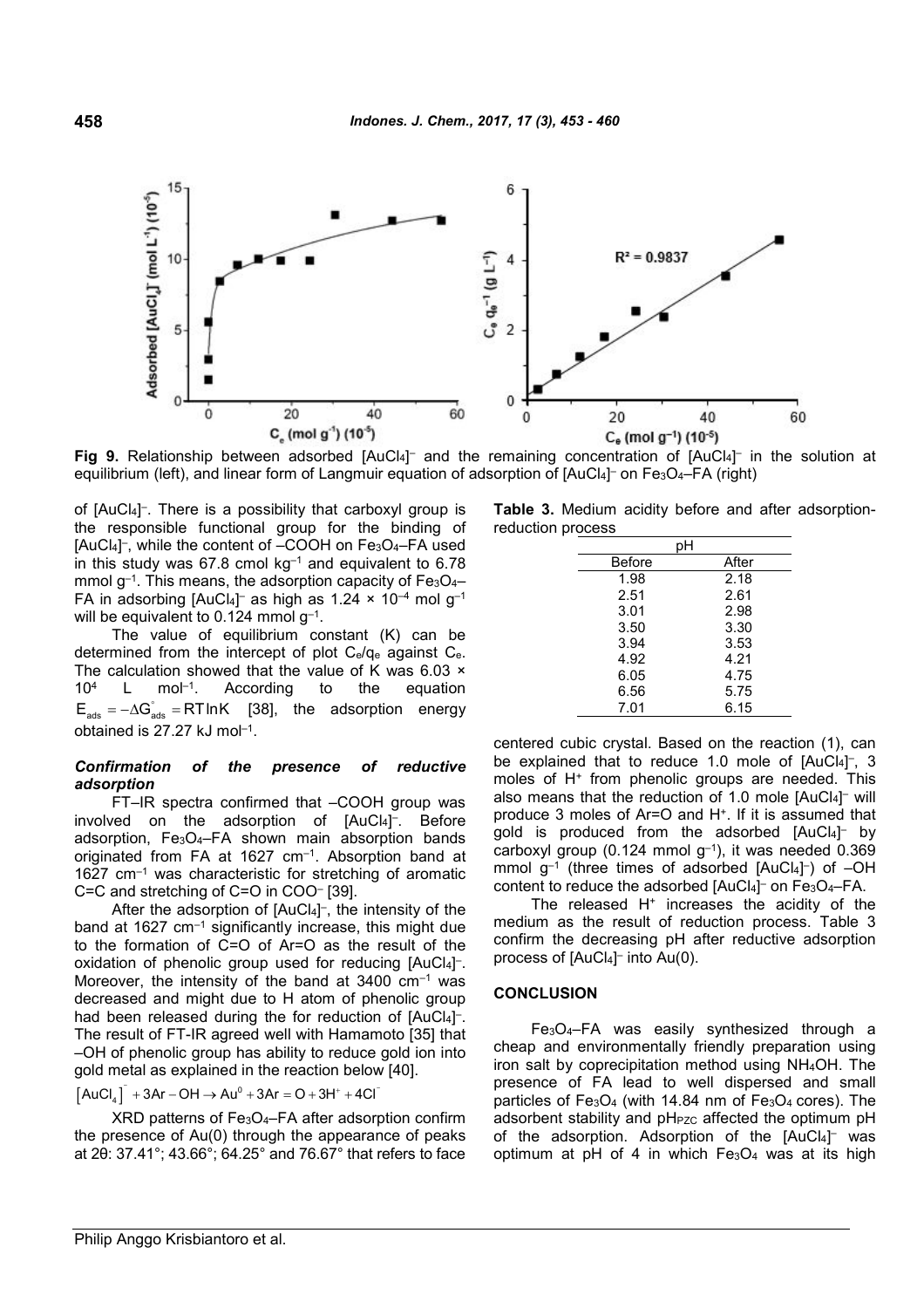

**Fig 9.** Relationship between adsorbed [AuCl<sub>4</sub>]<sup>-</sup> and the remaining concentration of [AuCl<sub>4</sub>]<sup>-</sup> in the solution at equilibrium (left), and linear form of Langmuir equation of adsorption of [AuCl4]<sup>–</sup> on Fe $_3$ O<sub>4</sub>–FA (right)

of [AuCl4] – . There is a possibility that carboxyl group is the responsible functional group for the binding of [AuCl<sub>4</sub>]<sup>-</sup>, while the content of -COOH on Fe<sub>3</sub>O<sub>4</sub>-FA used in this study was  $67.8$  cmol kg<sup>-1</sup> and equivalent to  $6.78$ mmol  $g^{-1}$ . This means, the adsorption capacity of Fe<sub>3</sub>O<sub>4</sub>– FA in adsorbing [AuCl $_4$ ] $^{\scriptscriptstyle +}$  as high as 1.24 × 10<sup>–4</sup> mol g $^{\scriptscriptstyle -1}$ will be equivalent to 0.124 mmol g $^{\rm -1}.$ 

The value of equilibrium constant (K) can be determined from the intercept of plot Ce/q<sup>e</sup> against Ce. The calculation showed that the value of K was 6.03 × 10<sup>4</sup> L mol<sup>-1</sup>. According to the equation  $E_{\text{ads}} = -\Delta G_{\text{ads}}^{\circ} = RT \ln K$  [38], the adsorption energy obtained is 27.27 kJ mol–1 .

## *Confirmation of the presence of reductive adsorption*

FT–IR spectra confirmed that –COOH group was involved on the adsorption of [AuCl4] – . Before adsorption, Fe3O4–FA shown main absorption bands originated from FA at 1627 cm<sup>-1</sup>. Absorption band at 1627 cm–1 was characteristic for stretching of aromatic C=C and stretching of C=O in COO– [39].

After the adsorption of [AuCl4] – , the intensity of the band at 1627 cm<sup>-1</sup> significantly increase, this might due to the formation of C=O of Ar=O as the result of the oxidation of phenolic group used for reducing [AuCl4]<sup>-</sup>. Moreover, the intensity of the band at  $3400 \text{ cm}^{-1}$  was decreased and might due to H atom of phenolic group had been released during the for reduction of [AuCl4]<sup>-</sup>. The result of FT-IR agreed well with Hamamoto [35] that –OH of phenolic group has ability to reduce gold ion into gold metal as explained in the reaction below [40].

$$
\left[ \text{AuCl}_4 \right]^{\text{-}} + 3\text{Ar} - \text{OH} \rightarrow \text{Au}^0 + 3\text{Ar} = \text{O} + 3\text{H}^+ + 4\text{Cl}^-
$$

XRD patterns of Fe3O4–FA after adsorption confirm the presence of Au(0) through the appearance of peaks at 2θ: 37.41°; 43.66°; 64.25° and 76.67° that refers to face

–

**Table 3.** Medium acidity before and after adsorptionreduction process

|        | pН    |
|--------|-------|
| Before | After |
| 1.98   | 2.18  |
| 2.51   | 2.61  |
| 3.01   | 2.98  |
| 3.50   | 3.30  |
| 3.94   | 3.53  |
| 4.92   | 4.21  |
| 6.05   | 4.75  |
| 6.56   | 5.75  |
| 7.01   | 6.15  |

centered cubic crystal. Based on the reaction (1), can be explained that to reduce 1.0 mole of [AuCl<sub>4</sub>]-, 3 moles of H<sup>+</sup> from phenolic groups are needed. This also means that the reduction of 1.0 mole [AuCl4] – will produce 3 moles of Ar=O and H<sup>+</sup> . If it is assumed that gold is produced from the adsorbed [AuCl4]<sup>-</sup> by carboxyl group (0.124 mmol  $q^{-1}$ ), it was needed 0.369 mmol g<sup>-1</sup> (three times of adsorbed [AuCl<sub>4</sub>]<sup>-</sup>) of -OH content to reduce the adsorbed [AuCl4]<sup>-</sup> on Fe<sub>3</sub>O<sub>4</sub>-FA.

The released H<sup>+</sup> increases the acidity of the medium as the result of reduction process. Table 3 confirm the decreasing pH after reductive adsorption process of [AuCl4] – into Au(0).

### **CONCLUSION**

Fe3O4–FA was easily synthesized through a cheap and environmentally friendly preparation using iron salt by coprecipitation method using NH4OH. The presence of FA lead to well dispersed and small particles of Fe<sub>3</sub>O<sub>4</sub> (with 14.84 nm of Fe<sub>3</sub>O<sub>4</sub> cores). The adsorbent stability and pH<sub>PZC</sub> affected the optimum pH of the adsorption. Adsorption of the [AuCl4] – was optimum at pH of 4 in which Fe3O<sup>4</sup> was at its high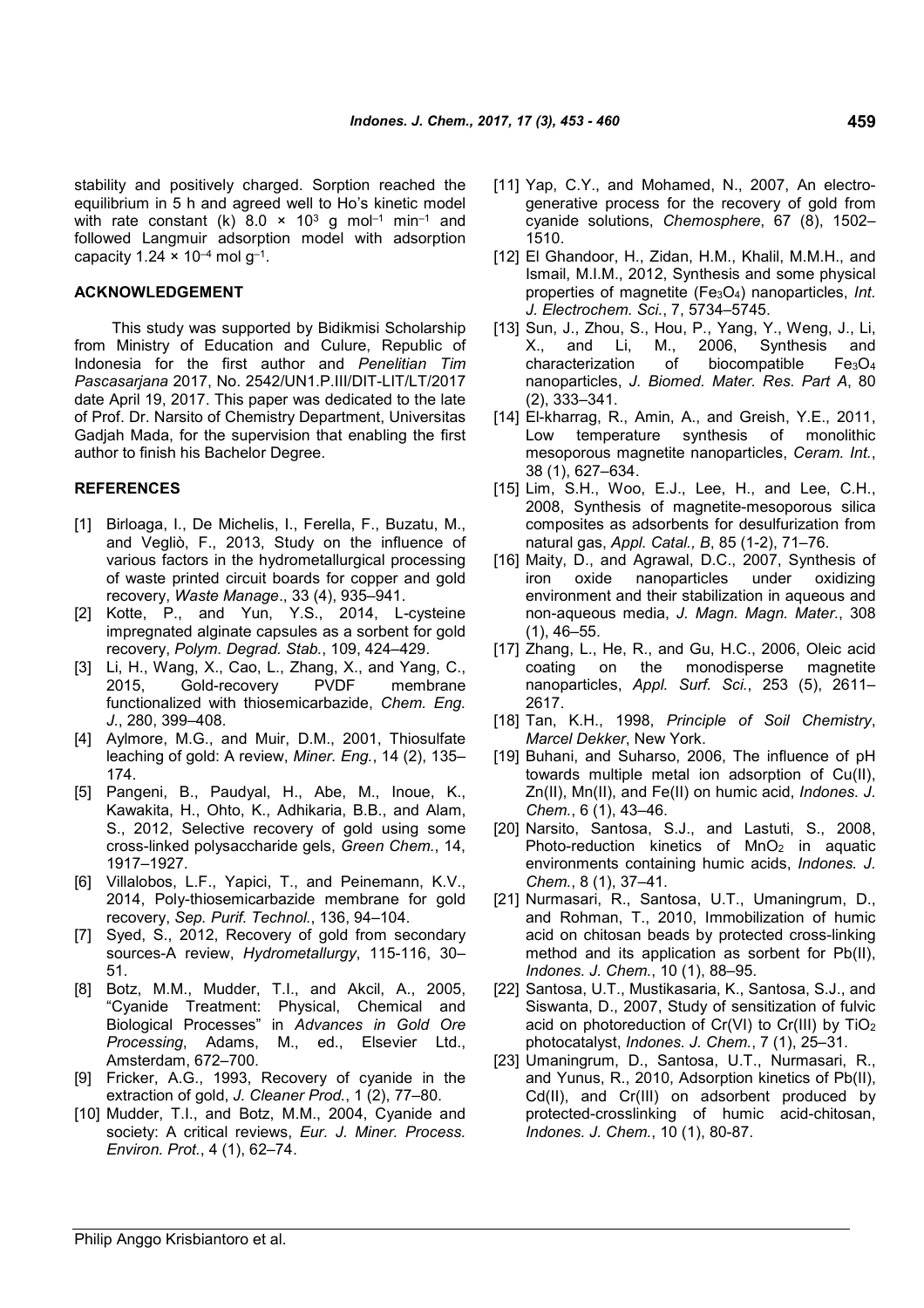stability and positively charged. Sorption reached the equilibrium in 5 h and agreed well to Ho's kinetic model with rate constant (k)  $8.0 \times 10^3$  g mol<sup>-1</sup> min<sup>-1</sup> and followed Langmuir adsorption model with adsorption capacity 1.24  $\times$  10<sup>–4</sup> mol g<sup>–1</sup>.

#### **ACKNOWLEDGEMENT**

This study was supported by Bidikmisi Scholarship from Ministry of Education and Culure, Republic of Indonesia for the first author and *Penelitian Tim Pascasarjana* 2017, No. 2542/UN1.P.III/DIT-LIT/LT/2017 date April 19, 2017. This paper was dedicated to the late of Prof. Dr. Narsito of Chemistry Department, Universitas Gadjah Mada, for the supervision that enabling the first author to finish his Bachelor Degree.

### **REFERENCES**

- [1] Birloaga, I., De Michelis, I., Ferella, F., Buzatu, M., and Vegliò, F., 2013, Study on the influence of various factors in the hydrometallurgical processing of waste printed circuit boards for copper and gold recovery, *Waste Manage*., 33 (4), 935–941.
- [2] Kotte, P., and Yun, Y.S., 2014, L*-*cysteine impregnated alginate capsules as a sorbent for gold recovery, *Polym. Degrad. Stab.*, 109, 424–429.
- [3] Li, H., Wang, X., Cao, L., Zhang, X., and Yang, C., 2015, Gold-recovery PVDF membrane functionalized with thiosemicarbazide, *Chem. Eng. J.*, 280, 399–408.
- [4] Aylmore, M.G., and Muir, D.M., 2001, Thiosulfate leaching of gold: A review, *Miner. Eng.*, 14 (2), 135– 174.
- [5] Pangeni, B., Paudyal, H., Abe, M., Inoue, K., Kawakita, H., Ohto, K., Adhikaria, B.B., and Alam, S., 2012, Selective recovery of gold using some cross-linked polysaccharide gels, *Green Chem.*, 14, 1917–1927.
- [6] Villalobos, L.F., Yapici, T., and Peinemann, K.V., 2014, Poly-thiosemicarbazide membrane for gold recovery, *Sep. Purif. Technol.*, 136, 94–104.
- [7] Syed, S., 2012, Recovery of gold from secondary sources-A review, *Hydrometallurgy*, 115-116, 30– 51.
- [8] Botz, M.M., Mudder, T.I., and Akcil, A., 2005, "Cyanide Treatment: Physical, Chemical and Biological Processes" in *Advances in Gold Ore Processing*, Adams, M., ed., Elsevier Ltd., Amsterdam, 672–700.
- [9] Fricker, A.G., 1993, Recovery of cyanide in the extraction of gold, *J. Cleaner Prod.*, 1 (2), 77–80.
- [10] Mudder, T.I., and Botz, M.M., 2004, Cyanide and society: A critical reviews, *Eur. J. Miner. Process. Environ. Prot.*, 4 (1), 62–74.
- [11] Yap, C.Y., and Mohamed, N., 2007, An electrogenerative process for the recovery of gold from cyanide solutions, *Chemosphere*, 67 (8), 1502– 1510.
- [12] El Ghandoor, H., Zidan, H.M., Khalil, M.M.H., and Ismail, M.I.M., 2012, Synthesis and some physical properties of magnetite (Fe3O4) nanoparticles, *Int. J. Electrochem. Sci.*, 7, 5734–5745.
- [13] Sun, J., Zhou, S., Hou, P., Yang, Y., Weng, J., Li, X., and Li, M., 2006, Synthesis and characterization of biocompatible Fe3O<sup>4</sup> nanoparticles, *J. Biomed. Mater. Res. Part A*, 80 (2), 333–341.
- [14] El-kharrag, R., Amin, A., and Greish, Y.E., 2011, Low temperature synthesis of monolithic mesoporous magnetite nanoparticles, *Ceram. Int.*, 38 (1), 627–634.
- [15] Lim, S.H., Woo, E.J., Lee, H., and Lee, C.H., 2008, Synthesis of magnetite-mesoporous silica composites as adsorbents for desulfurization from natural gas, *Appl. Catal., B*, 85 (1-2), 71–76.
- [16] Maity, D., and Agrawal, D.C., 2007, Synthesis of iron oxide nanoparticles under oxidizing environment and their stabilization in aqueous and non-aqueous media, *J. Magn. Magn. Mater.*, 308 (1), 46–55.
- [17] Zhang, L., He, R., and Gu, H.C., 2006, Oleic acid coating on the monodisperse magnetite nanoparticles, *Appl. Surf. Sci.*, 253 (5), 2611– 2617.
- [18] Tan, K.H., 1998, *Principle of Soil Chemistry*, *Marcel Dekker*, New York.
- [19] Buhani, and Suharso, 2006, The influence of pH towards multiple metal ion adsorption of Cu(II), Zn(II), Mn(II), and Fe(II) on humic acid, *Indones. J. Chem.*, 6 (1), 43–46.
- [20] Narsito, Santosa, S.J., and Lastuti, S., 2008, Photo-reduction kinetics of MnO<sub>2</sub> in aquatic environments containing humic acids, *Indones. J. Chem.*, 8 (1), 37–41.
- [21] Nurmasari, R., Santosa, U.T., Umaningrum, D., and Rohman, T., 2010, Immobilization of humic acid on chitosan beads by protected cross-linking method and its application as sorbent for Pb(II), *Indones. J. Chem.*, 10 (1), 88–95.
- [22] Santosa, U.T., Mustikasaria, K., Santosa, S.J., and Siswanta, D., 2007, Study of sensitization of fulvic acid on photoreduction of Cr(VI) to Cr(III) by TiO<sup>2</sup> photocatalyst, *Indones. J. Chem.*, 7 (1), 25–31.
- [23] Umaningrum, D., Santosa, U.T., Nurmasari, R., and Yunus, R., 2010, Adsorption kinetics of Pb(II), Cd(II), and Cr(III) on adsorbent produced by protected-crosslinking of humic acid-chitosan, *Indones. J. Chem.*, 10 (1), 80-87.